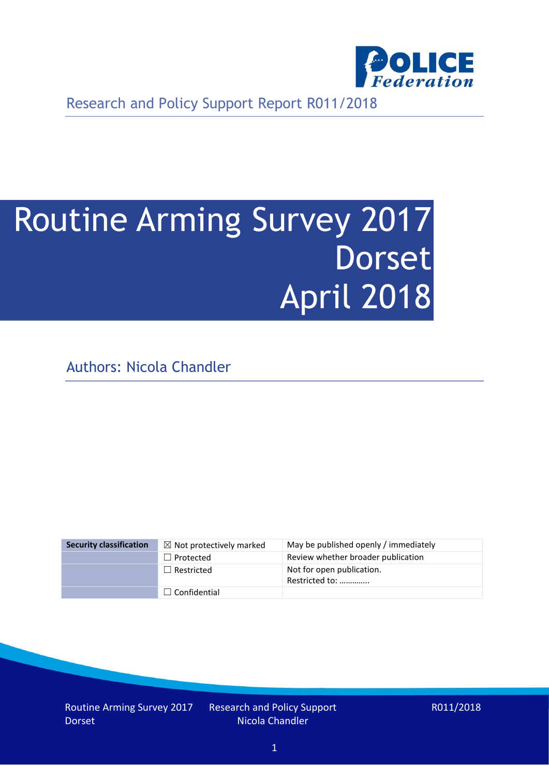

Research and Policy Support Report R011/2018

# Routine Arming Survey 2017 **Dorset** April 2018

Authors: Nicola Chandler

| <b>Security classification</b> | $\boxtimes$ Not protectively marked | May be published openly / immediately       |
|--------------------------------|-------------------------------------|---------------------------------------------|
|                                | $\Box$ Protected                    | Review whether broader publication          |
|                                | $\Box$ Restricted                   | Not for open publication.<br>Restricted to: |
|                                | $\Box$ Confidential                 |                                             |

Routine Arming Survey 2017 Dorset

Research and Policy Support Nicola Chandler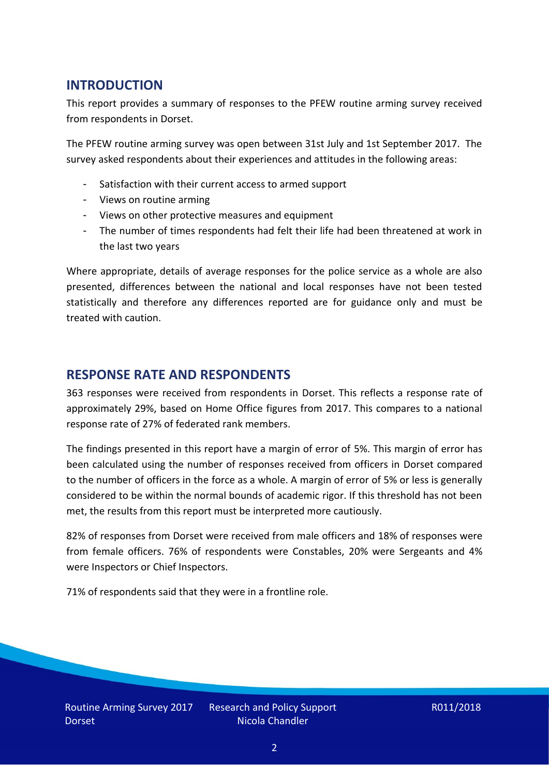## **INTRODUCTION**

This report provides a summary of responses to the PFEW routine arming survey received from respondents in Dorset.

The PFEW routine arming survey was open between 31st July and 1st September 2017. The survey asked respondents about their experiences and attitudes in the following areas:

- Satisfaction with their current access to armed support
- Views on routine arming
- Views on other protective measures and equipment
- The number of times respondents had felt their life had been threatened at work in the last two years

Where appropriate, details of average responses for the police service as a whole are also presented, differences between the national and local responses have not been tested statistically and therefore any differences reported are for guidance only and must be treated with caution.

#### **RESPONSE RATE AND RESPONDENTS**

363 responses were received from respondents in Dorset. This reflects a response rate of approximately 29%, based on Home Office figures from 2017. This compares to a national response rate of 27% of federated rank members.

The findings presented in this report have a margin of error of 5%. This margin of error has been calculated using the number of responses received from officers in Dorset compared to the number of officers in the force as a whole. A margin of error of 5% or less is generally considered to be within the normal bounds of academic rigor. If this threshold has not been met, the results from this report must be interpreted more cautiously.

82% of responses from Dorset were received from male officers and 18% of responses were from female officers. 76% of respondents were Constables, 20% were Sergeants and 4% were Inspectors or Chief Inspectors.

71% of respondents said that they were in a frontline role.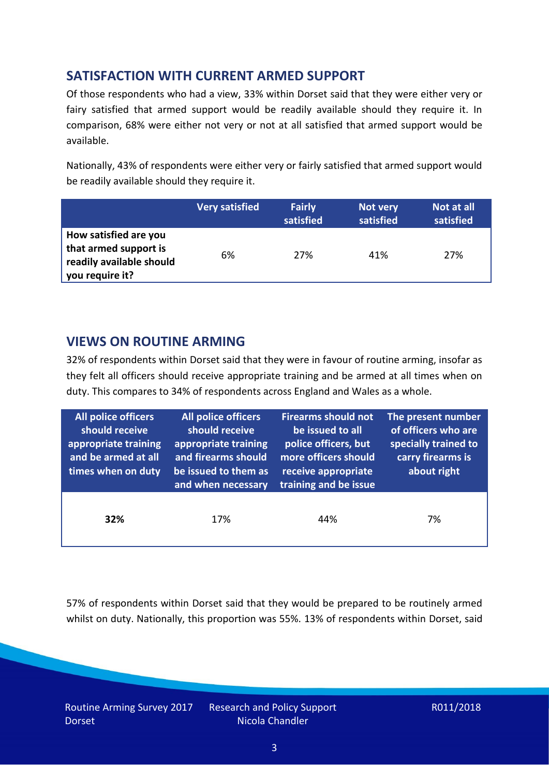# **SATISFACTION WITH CURRENT ARMED SUPPORT**

Of those respondents who had a view, 33% within Dorset said that they were either very or fairy satisfied that armed support would be readily available should they require it. In comparison, 68% were either not very or not at all satisfied that armed support would be available.

Nationally, 43% of respondents were either very or fairly satisfied that armed support would be readily available should they require it.

|                                                                                               | <b>Very satisfied</b> | <b>Fairly</b><br>satisfied | Not very<br>satisfied | Not at all<br>satisfied |
|-----------------------------------------------------------------------------------------------|-----------------------|----------------------------|-----------------------|-------------------------|
| How satisfied are you<br>that armed support is<br>readily available should<br>you require it? | 6%                    | 27%                        | 41%                   | 27%                     |

## **VIEWS ON ROUTINE ARMING**

32% of respondents within Dorset said that they were in favour of routine arming, insofar as they felt all officers should receive appropriate training and be armed at all times when on duty. This compares to 34% of respondents across England and Wales as a whole.

| All police officers<br>should receive<br>appropriate training<br>and be armed at all<br>times when on duty | All police officers<br>should receive<br>appropriate training<br>and firearms should<br>be issued to them as<br>and when necessary | <b>Firearms should not</b><br>be issued to all<br>police officers, but<br>more officers should<br>receive appropriate<br>training and be issue | The present number<br>of officers who are<br>specially trained to<br>carry firearms is<br>about right |
|------------------------------------------------------------------------------------------------------------|------------------------------------------------------------------------------------------------------------------------------------|------------------------------------------------------------------------------------------------------------------------------------------------|-------------------------------------------------------------------------------------------------------|
| 32%                                                                                                        | 17%                                                                                                                                | 44%                                                                                                                                            | 7%                                                                                                    |

57% of respondents within Dorset said that they would be prepared to be routinely armed whilst on duty. Nationally, this proportion was 55%. 13% of respondents within Dorset, said

Routine Arming Survey 2017 Dorset

Research and Policy Support Nicola Chandler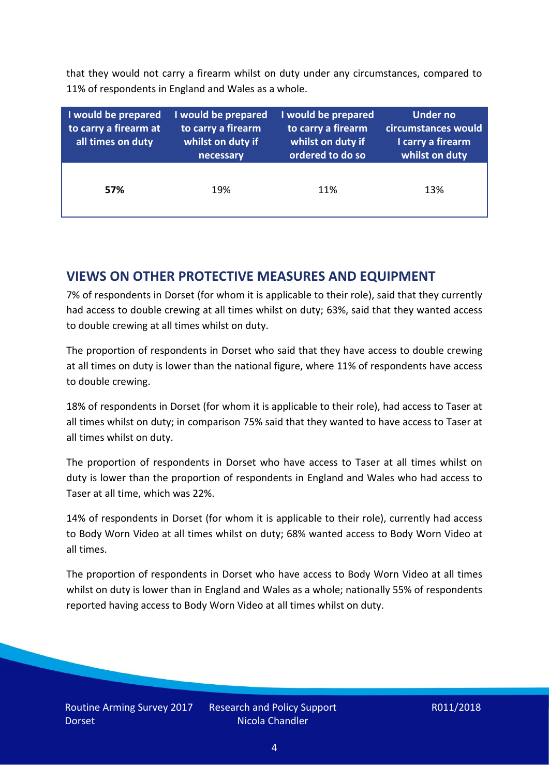that they would not carry a firearm whilst on duty under any circumstances, compared to 11% of respondents in England and Wales as a whole.

| I would be prepared<br>to carry a firearm at<br>all times on duty | I would be prepared<br>to carry a firearm<br>whilst on duty if<br>necessary | I would be prepared<br>to carry a firearm<br>whilst on duty if<br>ordered to do so | <b>Under no</b><br>circumstances would<br>I carry a firearm<br>whilst on duty |
|-------------------------------------------------------------------|-----------------------------------------------------------------------------|------------------------------------------------------------------------------------|-------------------------------------------------------------------------------|
| 57%                                                               | 19%                                                                         | 11%                                                                                | 13%                                                                           |

## **VIEWS ON OTHER PROTECTIVE MEASURES AND EQUIPMENT**

7% of respondents in Dorset (for whom it is applicable to their role), said that they currently had access to double crewing at all times whilst on duty; 63%, said that they wanted access to double crewing at all times whilst on duty.

The proportion of respondents in Dorset who said that they have access to double crewing at all times on duty is lower than the national figure, where 11% of respondents have access to double crewing.

18% of respondents in Dorset (for whom it is applicable to their role), had access to Taser at all times whilst on duty; in comparison 75% said that they wanted to have access to Taser at all times whilst on duty.

The proportion of respondents in Dorset who have access to Taser at all times whilst on duty is lower than the proportion of respondents in England and Wales who had access to Taser at all time, which was 22%.

14% of respondents in Dorset (for whom it is applicable to their role), currently had access to Body Worn Video at all times whilst on duty; 68% wanted access to Body Worn Video at all times.

The proportion of respondents in Dorset who have access to Body Worn Video at all times whilst on duty is lower than in England and Wales as a whole; nationally 55% of respondents reported having access to Body Worn Video at all times whilst on duty.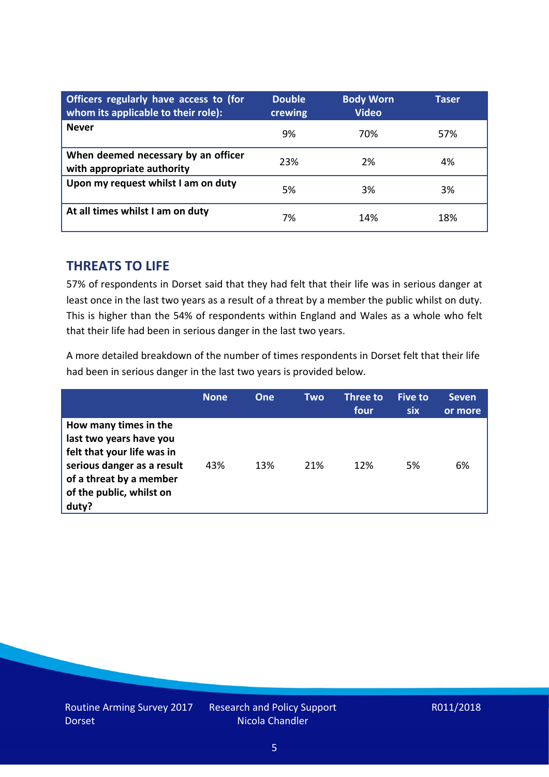| Officers regularly have access to (for<br>whom its applicable to their role): | <b>Double</b><br>crewing | <b>Body Worn</b><br><b>Video</b> | Taser |
|-------------------------------------------------------------------------------|--------------------------|----------------------------------|-------|
| <b>Never</b>                                                                  | 9%                       | 70%                              | 57%   |
| When deemed necessary by an officer<br>with appropriate authority             | 23%                      | 2%                               | 4%    |
| Upon my request whilst I am on duty                                           | 5%                       | 3%                               | 3%    |
| At all times whilst I am on duty                                              | 7%                       | 14%                              | 18%   |

#### **THREATS TO LIFE**

57% of respondents in Dorset said that they had felt that their life was in serious danger at least once in the last two years as a result of a threat by a member the public whilst on duty. This is higher than the 54% of respondents within England and Wales as a whole who felt that their life had been in serious danger in the last two years.

A more detailed breakdown of the number of times respondents in Dorset felt that their life had been in serious danger in the last two years is provided below.

|                                                                                                                                                                              | <b>None</b> | <b>One</b> | Two | Three to<br>four | <b>Five to</b><br><b>six</b> | <b>Seven</b><br>or more |
|------------------------------------------------------------------------------------------------------------------------------------------------------------------------------|-------------|------------|-----|------------------|------------------------------|-------------------------|
| How many times in the<br>last two years have you<br>felt that your life was in<br>serious danger as a result<br>of a threat by a member<br>of the public, whilst on<br>duty? | 43%         | 13%        | 21% | 12%              | 5%                           | 6%                      |

Research and Policy Support Nicola Chandler